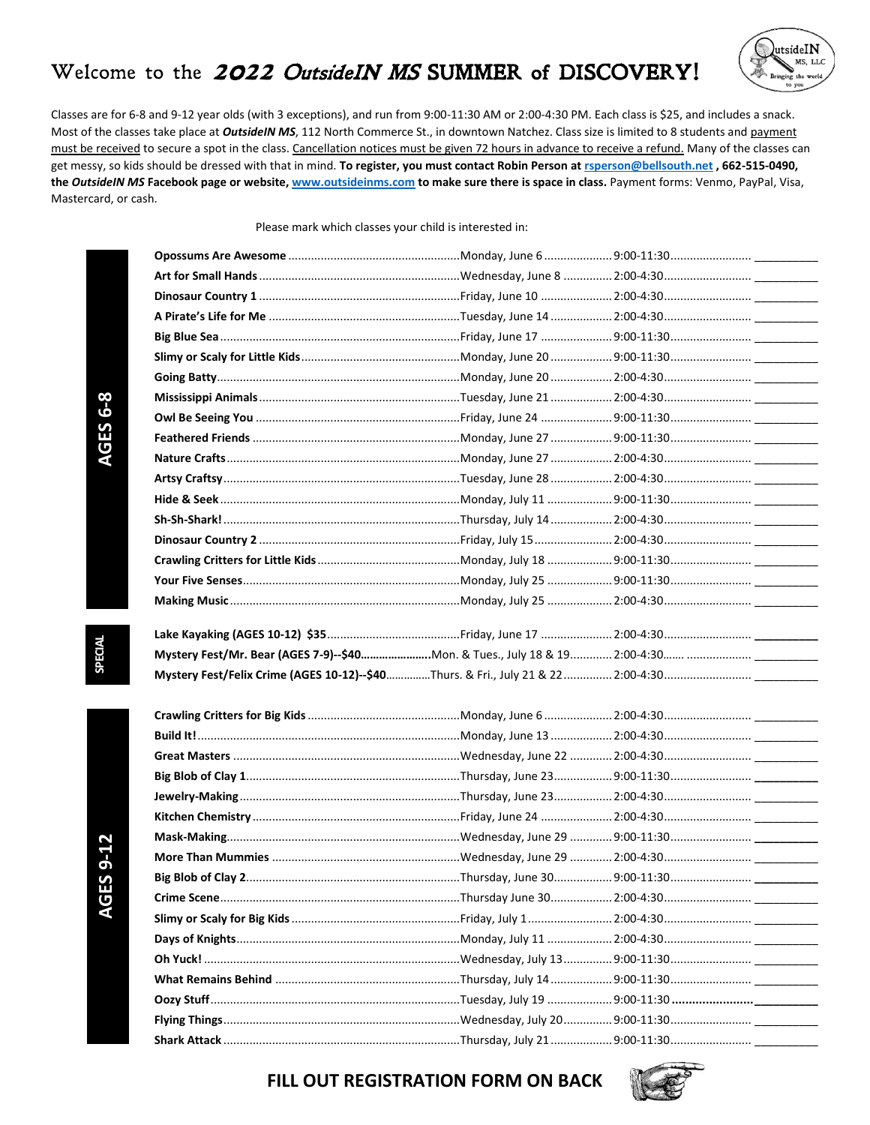## Welcome to the 2022 OutsideIN MS SUMMER of DISCOVERY!



Classes are for 6-8 and 9-12 year olds (with 3 exceptions), and run from 9:00-11:30 AM or 2:00-4:30 PM. Each class is \$25, and includes a snack. Most of the classes take place at *OutsideIN MS*, 112 North Commerce St., in downtown Natchez. Class size is limited to 8 students and payment must be received to secure a spot in the class. Cancellation notices must be given 72 hours in advance to receive a refund. Many of the classes can get messy, so kids should be dressed with that in mind. **To register, you must contact Robin Person a[t rsperson@bellsouth.net](mailto:rsperson@bellsouth.net) , 662-515-0490, the** *OutsideIN MS* **Facebook page or website[, www.outsideinms.com](http://www.outsideinms.com/) to make sure there is space in class.** Payment forms: Venmo, PayPal, Visa, Mastercard, or cash.

Please mark which classes your child is interested in:

**AGES 6-8**

**AGES 9-12 SPECIAL**

**AGES 9-12** 

**SPECIAL** 

**FILL OUT REGISTRATION FORM ON BACK**

**Shark Attack** .........................................................................Thursday, July 21...................9:00-11:30......................... \_\_\_\_\_\_\_\_\_\_